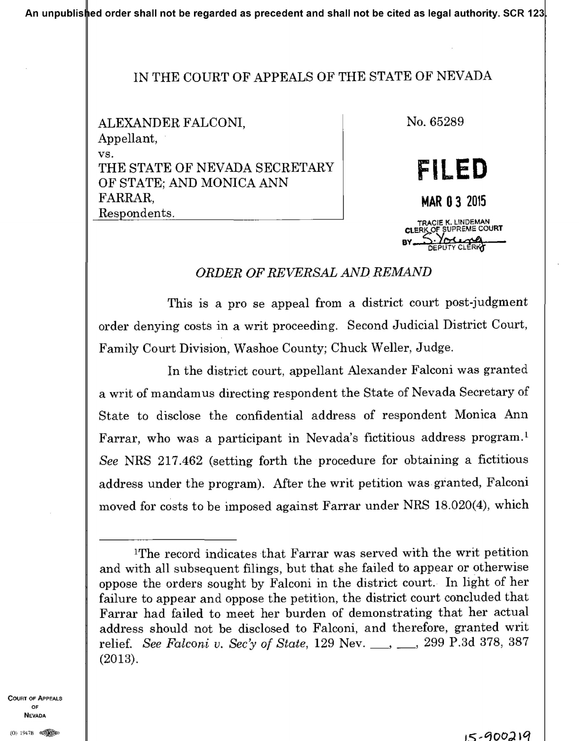## IN THE COURT OF APPEALS OF THE STATE OF NEVADA

ALEXANDER FALCONI, Appellant, VS. THE STATE OF NEVADA SECRETARY OF STATE; AND MONICA ANN FARRAR, Respondents.

No. 65289 FILED **MAR 0 3 2015** TRACIE K. LINDEMAN CLERK OF SUPREME COURT

## ORDER OF REVERSAL AND REMAND

This is a pro se appeal from a district court post-judgment order denying costs in a writ proceeding. Second Judicial District Court, Family Court Division, Washoe County; Chuck Weller, Judge.

In the district court, appellant Alexander Falconi was granted a writ of mandamus directing respondent the State of Nevada Secretary of State to disclose the confidential address of respondent Monica Ann Farrar, who was a participant in Nevada's fictitious address program.<sup>1</sup> See NRS 217.462 (setting forth the procedure for obtaining a fictitious address under the program). After the writ petition was granted, Falconi moved for costs to be imposed against Farrar under NRS 18.020(4), which

**COURT OF APPEALS** OF **NEVADA** 

<sup>&</sup>lt;sup>1</sup>The record indicates that Farrar was served with the writ petition and with all subsequent filings, but that she failed to appear or otherwise oppose the orders sought by Falconi in the district court. In light of her failure to appear and oppose the petition, the district court concluded that Farrar had failed to meet her burden of demonstrating that her actual address should not be disclosed to Falconi, and therefore, granted writ relief. See Falconi v. Sec'y of State, 129 Nev. \_\_, \_\_, 299 P.3d 378, 387  $(2013).$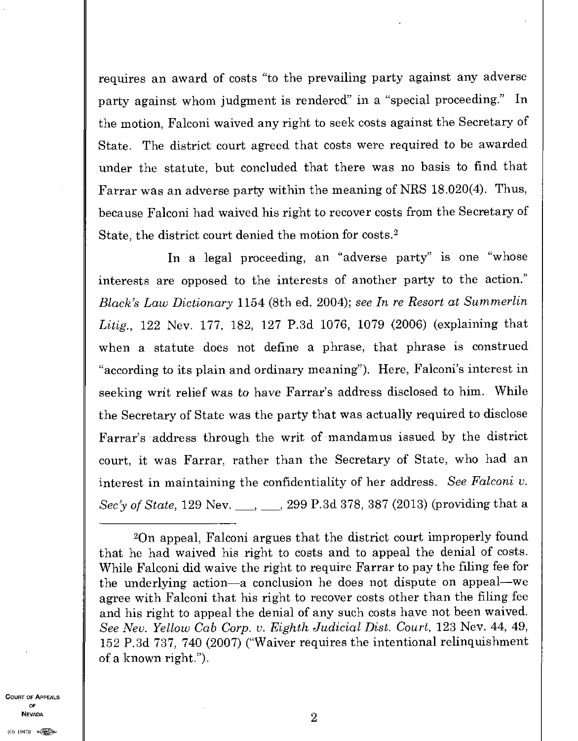requires an award of costs "to the prevailing party against any adverse party against whom judgment is rendered" in a "special proceeding." In the motion, Falconi waived any right to seek costs against the Secretary of State. The district court agreed that costs were required to be awarded under the statute, but concluded that there was no basis to find that Farrar was an adverse party within the meaning of NRS 18.020(4). Thus, because Falconi had waived his right to recover costs from the Secretary of State, the district court denied the motion for costs. <sup>2</sup>

In a legal proceeding, an "adverse party" is one "whose interests are opposed to the interests of another party to the action." *Black's Law Dictionary* 1154 (8th ed. 2004); *see In re Resort at Summerlin Litig.,* 122 Nev. 177, 182, 127 P.3d 1076, 1079 (2006) (explaining that when a statute does not define a phrase, that phrase is construed "according to its plain and ordinary meaning"). Here, Falconi's interest in seeking writ relief was to have Farrar's address disclosed to him. While the Secretary of State was the party that was actually required to disclose Farrar's address through the writ of mandamus issued by the district court, it was Farrar, rather than the Secretary of State, who had an interest in maintaining the confidentiality of her address. *See Falconi v. Sec'y of State,* 129 Nev. \_\_, \_\_, 299 P.3d 378, 387 (2013) (providing that a

COURT OF APPEALS OF NEVADA  $2$ 

<sup>2</sup>0n appeal, Falconi argues that the district court improperly found that he had waived his right to costs and to appeal the denial of costs. While Falconi did waive the right to require Farrar to pay the filing fee for the underlying action—a conclusion he does not dispute on appeal—we agree with Falconi that his right to recover costs other than the filing fee and his right to appeal the denial of any such costs have not been waived. See Nev. Yellow Cab Corp. v. Eighth Judicial Dist. Court, 123 Nev. 44, 49, 152 P.3d 737, 740 (2007) ("Waiver requires the intentional relinquishment of a known right.").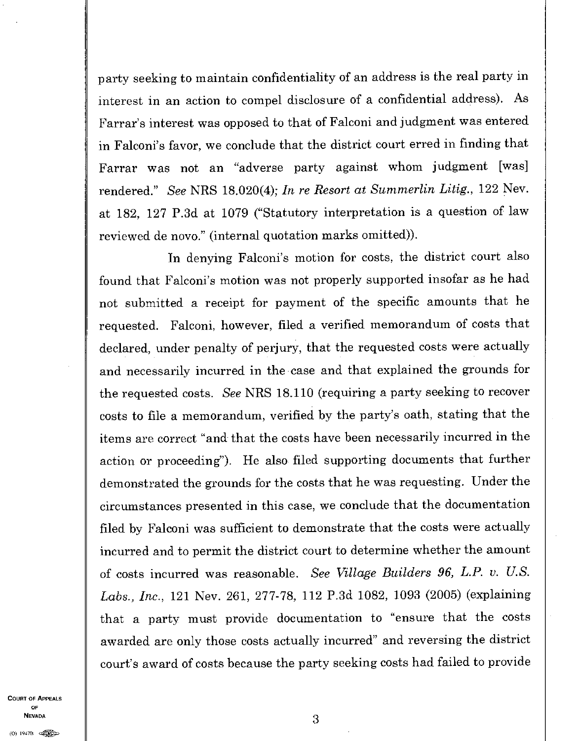party seeking to maintain confidentiality of an address is the real party in interest in an action to compel disclosure of a confidential address). As Farrar's interest was opposed to that of Falconi and judgment was entered in Falconi's favor, we conclude that the district court erred in finding that Farrar was not an "adverse party against whom judgment [was] rendered." *See* NRS 18.020(4); *In re Resort at Summerlin Litig.,* 122 Nev. at 182, 127 P.3d at 1079 ("Statutory interpretation is a question of law reviewed de novo." (internal quotation marks omitted)).

In denying Falconi's motion for costs, the district court also found that Falconi's motion was not properly supported insofar as he had not submitted a receipt for payment of the specific amounts that he requested. Falconi, however, filed a verified memorandum of costs that declared, under penalty of perjury, that the requested costs were actually and necessarily incurred in the case and that explained the grounds for the requested costs. *See* NRS 18.110 (requiring a party seeking to recover costs to file a memorandum, verified by the party's oath, stating that the items are correct "and that the costs have been necessarily incurred in the action or proceeding"). He also filed supporting documents that further demonstrated the grounds for the costs that he was requesting. Under the circumstances presented in this case, we conclude that the documentation filed by Falconi was sufficient to demonstrate that the costs were actually incurred and to permit the district court to determine whether the amount of costs incurred was reasonable. *See Village Builders 96, L.P. v. U.S. Labs., Inc.,* 121 Nev. 261, 277-78, 112 P.3d 1082, 1093 (2005) (explaining that a party must provide documentation to "ensure that the costs awarded are only those costs actually incurred" and reversing the district court's award of costs because the party seeking costs had failed to provide

COURT OF APPEALS OF  $\blacksquare$